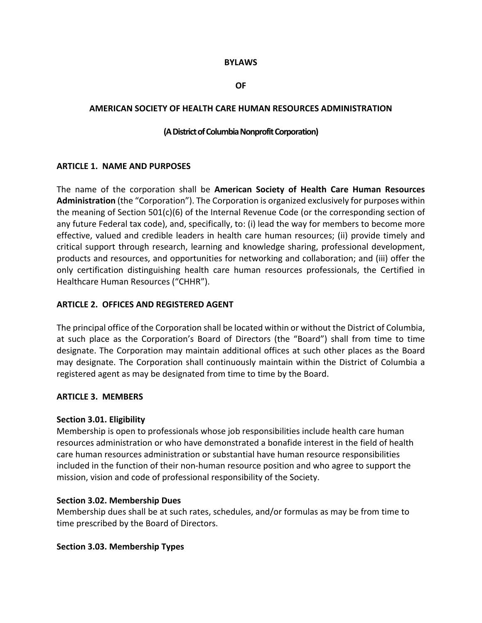#### **BYLAWS**

#### **OF**

#### **AMERICAN SOCIETY OF HEALTH CARE HUMAN RESOURCES ADMINISTRATION**

#### **(ADistrictofColumbiaNonprofitCorporation)**

#### **ARTICLE 1. NAME AND PURPOSES**

The name of the corporation shall be **American Society of Health Care Human Resources Administration** (the "Corporation"). The Corporation is organized exclusively for purposes within the meaning of Section 501(c)(6) of the Internal Revenue Code (or the corresponding section of any future Federal tax code), and, specifically, to: (i) lead the way for members to become more effective, valued and credible leaders in health care human resources; (ii) provide timely and critical support through research, learning and knowledge sharing, professional development, products and resources, and opportunities for networking and collaboration; and (iii) offer the only certification distinguishing health care human resources professionals, the Certified in Healthcare Human Resources ("CHHR").

#### **ARTICLE 2. OFFICES AND REGISTERED AGENT**

The principal office of the Corporation shall be located within or without the District of Columbia, at such place as the Corporation's Board of Directors (the "Board") shall from time to time designate. The Corporation may maintain additional offices at such other places as the Board may designate. The Corporation shall continuously maintain within the District of Columbia a registered agent as may be designated from time to time by the Board.

#### **ARTICLE 3. MEMBERS**

#### **Section 3.01. Eligibility**

Membership is open to professionals whose job responsibilities include health care human resources administration or who have demonstrated a bonafide interest in the field of health care human resources administration or substantial have human resource responsibilities included in the function of their non‐human resource position and who agree to support the mission, vision and code of professional responsibility of the Society.

#### **Section 3.02. Membership Dues**

Membership dues shall be at such rates, schedules, and/or formulas as may be from time to time prescribed by the Board of Directors.

#### **Section 3.03. Membership Types**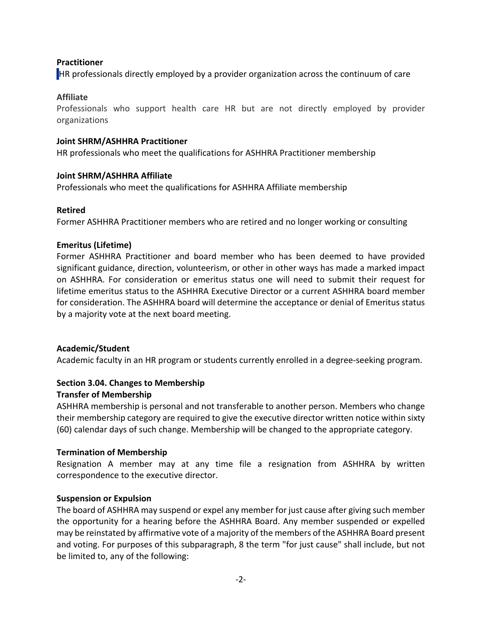# **Practitioner**

HR professionals directly employed by a provider organization across the continuum of care

## **Affiliate**

Professionals who support health care HR but are not directly employed by provider organizations

## **Joint SHRM/ASHHRA Practitioner**

HR professionals who meet the qualifications for ASHHRA Practitioner membership

# **Joint SHRM/ASHHRA Affiliate**

Professionals who meet the qualifications for ASHHRA Affiliate membership

# **Retired**

Former ASHHRA Practitioner members who are retired and no longer working or consulting

# **Emeritus (Lifetime)**

Former ASHHRA Practitioner and board member who has been deemed to have provided significant guidance, direction, volunteerism, or other in other ways has made a marked impact on ASHHRA. For consideration or emeritus status one will need to submit their request for lifetime emeritus status to the ASHHRA Executive Director or a current ASHHRA board member for consideration. The ASHHRA board will determine the acceptance or denial of Emeritus status by a majority vote at the next board meeting.

# **Academic/Student**

Academic faculty in an HR program or students currently enrolled in a degree‐seeking program.

#### **Section 3.04. Changes to Membership Transfer of Membership**

ASHHRA membership is personal and not transferable to another person. Members who change their membership category are required to give the executive director written notice within sixty (60) calendar days of such change. Membership will be changed to the appropriate category.

# **Termination of Membership**

Resignation A member may at any time file a resignation from ASHHRA by written correspondence to the executive director.

## **Suspension or Expulsion**

The board of ASHHRA may suspend or expel any member for just cause after giving such member the opportunity for a hearing before the ASHHRA Board. Any member suspended or expelled may be reinstated by affirmative vote of a majority of the members of the ASHHRA Board present and voting. For purposes of this subparagraph, 8 the term "for just cause" shall include, but not be limited to, any of the following: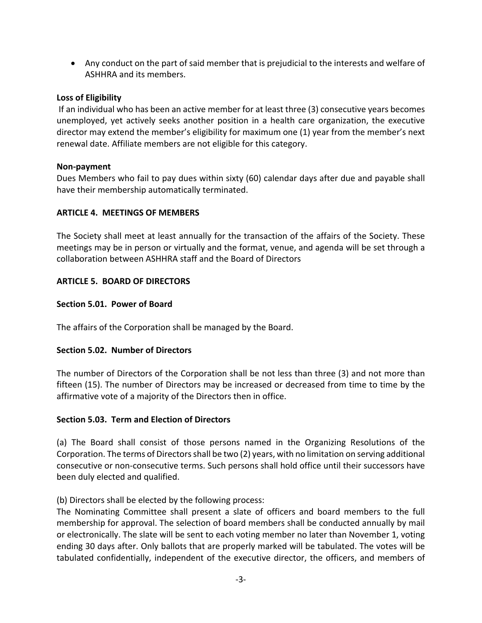Any conduct on the part of said member that is prejudicial to the interests and welfare of ASHHRA and its members.

### **Loss of Eligibility**

If an individual who has been an active member for at least three (3) consecutive years becomes unemployed, yet actively seeks another position in a health care organization, the executive director may extend the member's eligibility for maximum one (1) year from the member's next renewal date. Affiliate members are not eligible for this category.

### **Non‐payment**

Dues Members who fail to pay dues within sixty (60) calendar days after due and payable shall have their membership automatically terminated.

### **ARTICLE 4. MEETINGS OF MEMBERS**

The Society shall meet at least annually for the transaction of the affairs of the Society. These meetings may be in person or virtually and the format, venue, and agenda will be set through a collaboration between ASHHRA staff and the Board of Directors

## **ARTICLE 5. BOARD OF DIRECTORS**

### **Section 5.01. Power of Board**

The affairs of the Corporation shall be managed by the Board.

## **Section 5.02. Number of Directors**

The number of Directors of the Corporation shall be not less than three (3) and not more than fifteen (15). The number of Directors may be increased or decreased from time to time by the affirmative vote of a majority of the Directors then in office.

#### **Section 5.03. Term and Election of Directors**

(a) The Board shall consist of those persons named in the Organizing Resolutions of the Corporation. The terms of Directorsshall be two (2) years, with no limitation on serving additional consecutive or non‐consecutive terms. Such persons shall hold office until their successors have been duly elected and qualified.

## (b) Directors shall be elected by the following process:

The Nominating Committee shall present a slate of officers and board members to the full membership for approval. The selection of board members shall be conducted annually by mail or electronically. The slate will be sent to each voting member no later than November 1, voting ending 30 days after. Only ballots that are properly marked will be tabulated. The votes will be tabulated confidentially, independent of the executive director, the officers, and members of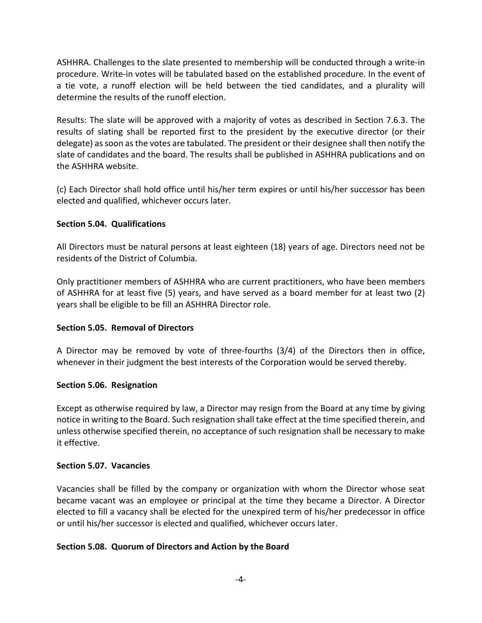ASHHRA. Challenges to the slate presented to membership will be conducted through a write‐in procedure. Write‐in votes will be tabulated based on the established procedure. In the event of a tie vote, a runoff election will be held between the tied candidates, and a plurality will determine the results of the runoff election.

Results: The slate will be approved with a majority of votes as described in Section 7.6.3. The results of slating shall be reported first to the president by the executive director (or their delegate) as soon as the votes are tabulated. The president or their designee shall then notify the slate of candidates and the board. The results shall be published in ASHHRA publications and on the ASHHRA website.

(c) Each Director shall hold office until his/her term expires or until his/her successor has been elected and qualified, whichever occurs later.

### **Section 5.04. Qualifications**

All Directors must be natural persons at least eighteen (18) years of age. Directors need not be residents of the District of Columbia.

Only practitioner members of ASHHRA who are current practitioners, who have been members of ASHHRA for at least five (5) years, and have served as a board member for at least two (2) years shall be eligible to be fill an ASHHRA Director role.

## **Section 5.05. Removal of Directors**

A Director may be removed by vote of three‐fourths (3/4) of the Directors then in office, whenever in their judgment the best interests of the Corporation would be served thereby.

#### **Section 5.06. Resignation**

Except as otherwise required by law, a Director may resign from the Board at any time by giving notice in writing to the Board. Such resignation shall take effect at the time specified therein, and unless otherwise specified therein, no acceptance of such resignation shall be necessary to make it effective.

#### **Section 5.07. Vacancies**

Vacancies shall be filled by the company or organization with whom the Director whose seat became vacant was an employee or principal at the time they became a Director. A Director elected to fill a vacancy shall be elected for the unexpired term of his/her predecessor in office or until his/her successor is elected and qualified, whichever occurs later.

## **Section 5.08. Quorum of Directors and Action by the Board**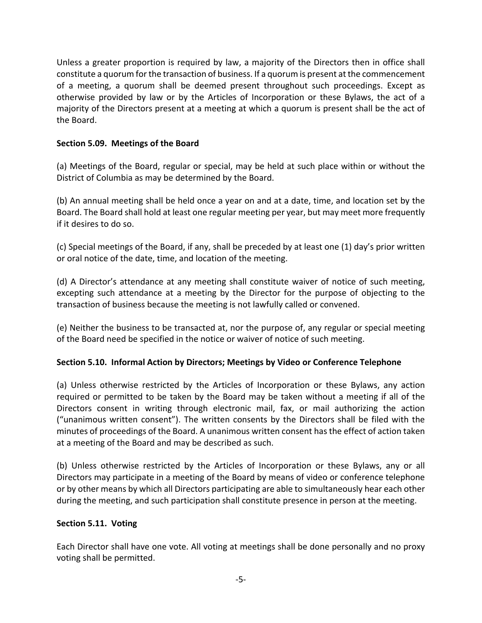Unless a greater proportion is required by law, a majority of the Directors then in office shall constitute a quorum for the transaction of business. If a quorum is present at the commencement of a meeting, a quorum shall be deemed present throughout such proceedings. Except as otherwise provided by law or by the Articles of Incorporation or these Bylaws, the act of a majority of the Directors present at a meeting at which a quorum is present shall be the act of the Board.

# **Section 5.09. Meetings of the Board**

(a) Meetings of the Board, regular or special, may be held at such place within or without the District of Columbia as may be determined by the Board.

(b) An annual meeting shall be held once a year on and at a date, time, and location set by the Board. The Board shall hold at least one regular meeting per year, but may meet more frequently if it desires to do so.

(c) Special meetings of the Board, if any, shall be preceded by at least one (1) day's prior written or oral notice of the date, time, and location of the meeting.

(d) A Director's attendance at any meeting shall constitute waiver of notice of such meeting, excepting such attendance at a meeting by the Director for the purpose of objecting to the transaction of business because the meeting is not lawfully called or convened.

(e) Neither the business to be transacted at, nor the purpose of, any regular or special meeting of the Board need be specified in the notice or waiver of notice of such meeting.

## **Section 5.10. Informal Action by Directors; Meetings by Video or Conference Telephone**

(a) Unless otherwise restricted by the Articles of Incorporation or these Bylaws, any action required or permitted to be taken by the Board may be taken without a meeting if all of the Directors consent in writing through electronic mail, fax, or mail authorizing the action ("unanimous written consent"). The written consents by the Directors shall be filed with the minutes of proceedings of the Board. A unanimous written consent hasthe effect of action taken at a meeting of the Board and may be described as such.

(b) Unless otherwise restricted by the Articles of Incorporation or these Bylaws, any or all Directors may participate in a meeting of the Board by means of video or conference telephone or by other means by which all Directors participating are able to simultaneously hear each other during the meeting, and such participation shall constitute presence in person at the meeting.

## **Section 5.11. Voting**

Each Director shall have one vote. All voting at meetings shall be done personally and no proxy voting shall be permitted.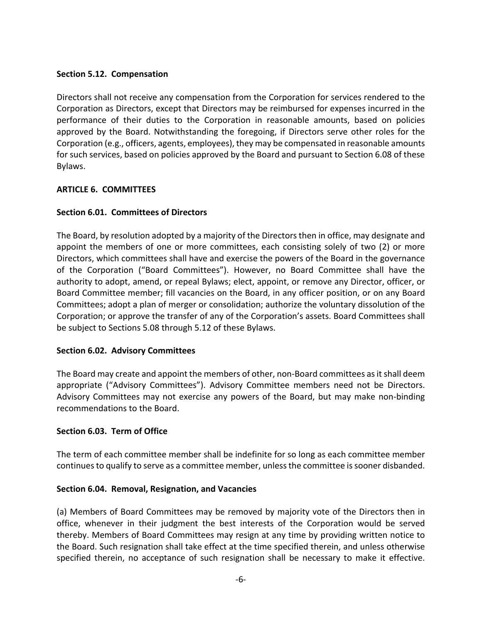### **Section 5.12. Compensation**

Directors shall not receive any compensation from the Corporation for services rendered to the Corporation as Directors, except that Directors may be reimbursed for expenses incurred in the performance of their duties to the Corporation in reasonable amounts, based on policies approved by the Board. Notwithstanding the foregoing, if Directors serve other roles for the Corporation (e.g., officers, agents, employees), they may be compensated in reasonable amounts for such services, based on policies approved by the Board and pursuant to Section 6.08 of these Bylaws.

### **ARTICLE 6. COMMITTEES**

## **Section 6.01. Committees of Directors**

The Board, by resolution adopted by a majority of the Directors then in office, may designate and appoint the members of one or more committees, each consisting solely of two (2) or more Directors, which committees shall have and exercise the powers of the Board in the governance of the Corporation ("Board Committees"). However, no Board Committee shall have the authority to adopt, amend, or repeal Bylaws; elect, appoint, or remove any Director, officer, or Board Committee member; fill vacancies on the Board, in any officer position, or on any Board Committees; adopt a plan of merger or consolidation; authorize the voluntary dissolution of the Corporation; or approve the transfer of any of the Corporation's assets. Board Committees shall be subject to Sections 5.08 through 5.12 of these Bylaws.

#### **Section 6.02. Advisory Committees**

The Board may create and appoint the members of other, non-Board committees as it shall deem appropriate ("Advisory Committees"). Advisory Committee members need not be Directors. Advisory Committees may not exercise any powers of the Board, but may make non‐binding recommendations to the Board.

#### **Section 6.03. Term of Office**

The term of each committee member shall be indefinite for so long as each committee member continues to qualify to serve as a committee member, unless the committee is sooner disbanded.

#### **Section 6.04. Removal, Resignation, and Vacancies**

(a) Members of Board Committees may be removed by majority vote of the Directors then in office, whenever in their judgment the best interests of the Corporation would be served thereby. Members of Board Committees may resign at any time by providing written notice to the Board. Such resignation shall take effect at the time specified therein, and unless otherwise specified therein, no acceptance of such resignation shall be necessary to make it effective.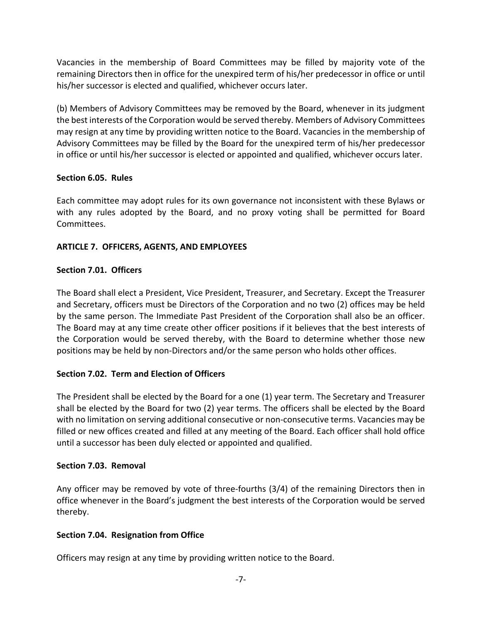Vacancies in the membership of Board Committees may be filled by majority vote of the remaining Directors then in office for the unexpired term of his/her predecessor in office or until his/her successor is elected and qualified, whichever occurs later.

(b) Members of Advisory Committees may be removed by the Board, whenever in its judgment the best interests of the Corporation would be served thereby. Members of Advisory Committees may resign at any time by providing written notice to the Board. Vacancies in the membership of Advisory Committees may be filled by the Board for the unexpired term of his/her predecessor in office or until his/her successor is elected or appointed and qualified, whichever occurs later.

## **Section 6.05. Rules**

Each committee may adopt rules for its own governance not inconsistent with these Bylaws or with any rules adopted by the Board, and no proxy voting shall be permitted for Board Committees.

# **ARTICLE 7. OFFICERS, AGENTS, AND EMPLOYEES**

# **Section 7.01. Officers**

The Board shall elect a President, Vice President, Treasurer, and Secretary. Except the Treasurer and Secretary, officers must be Directors of the Corporation and no two (2) offices may be held by the same person. The Immediate Past President of the Corporation shall also be an officer. The Board may at any time create other officer positions if it believes that the best interests of the Corporation would be served thereby, with the Board to determine whether those new positions may be held by non‐Directors and/or the same person who holds other offices.

# **Section 7.02. Term and Election of Officers**

The President shall be elected by the Board for a one (1) year term. The Secretary and Treasurer shall be elected by the Board for two (2) year terms. The officers shall be elected by the Board with no limitation on serving additional consecutive or non-consecutive terms. Vacancies may be filled or new offices created and filled at any meeting of the Board. Each officer shall hold office until a successor has been duly elected or appointed and qualified.

## **Section 7.03. Removal**

Any officer may be removed by vote of three-fourths (3/4) of the remaining Directors then in office whenever in the Board's judgment the best interests of the Corporation would be served thereby.

## **Section 7.04. Resignation from Office**

Officers may resign at any time by providing written notice to the Board.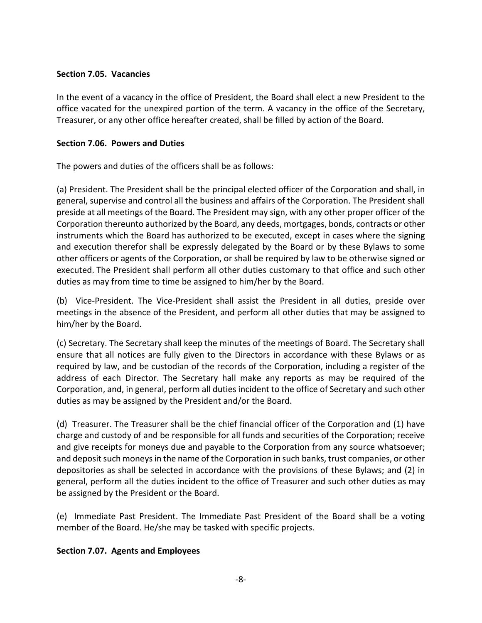### **Section 7.05. Vacancies**

In the event of a vacancy in the office of President, the Board shall elect a new President to the office vacated for the unexpired portion of the term. A vacancy in the office of the Secretary, Treasurer, or any other office hereafter created, shall be filled by action of the Board.

# **Section 7.06. Powers and Duties**

The powers and duties of the officers shall be as follows:

(a) President. The President shall be the principal elected officer of the Corporation and shall, in general, supervise and control all the business and affairs of the Corporation. The President shall preside at all meetings of the Board. The President may sign, with any other proper officer of the Corporation thereunto authorized by the Board, any deeds, mortgages, bonds, contracts or other instruments which the Board has authorized to be executed, except in cases where the signing and execution therefor shall be expressly delegated by the Board or by these Bylaws to some other officers or agents of the Corporation, or shall be required by law to be otherwise signed or executed. The President shall perform all other duties customary to that office and such other duties as may from time to time be assigned to him/her by the Board.

(b) Vice‐President. The Vice‐President shall assist the President in all duties, preside over meetings in the absence of the President, and perform all other duties that may be assigned to him/her by the Board.

(c) Secretary. The Secretary shall keep the minutes of the meetings of Board. The Secretary shall ensure that all notices are fully given to the Directors in accordance with these Bylaws or as required by law, and be custodian of the records of the Corporation, including a register of the address of each Director. The Secretary hall make any reports as may be required of the Corporation, and, in general, perform all duties incident to the office of Secretary and such other duties as may be assigned by the President and/or the Board.

(d) Treasurer. The Treasurer shall be the chief financial officer of the Corporation and (1) have charge and custody of and be responsible for all funds and securities of the Corporation; receive and give receipts for moneys due and payable to the Corporation from any source whatsoever; and deposit such moneys in the name of the Corporation in such banks, trust companies, or other depositories as shall be selected in accordance with the provisions of these Bylaws; and (2) in general, perform all the duties incident to the office of Treasurer and such other duties as may be assigned by the President or the Board.

(e) Immediate Past President. The Immediate Past President of the Board shall be a voting member of the Board. He/she may be tasked with specific projects.

## **Section 7.07. Agents and Employees**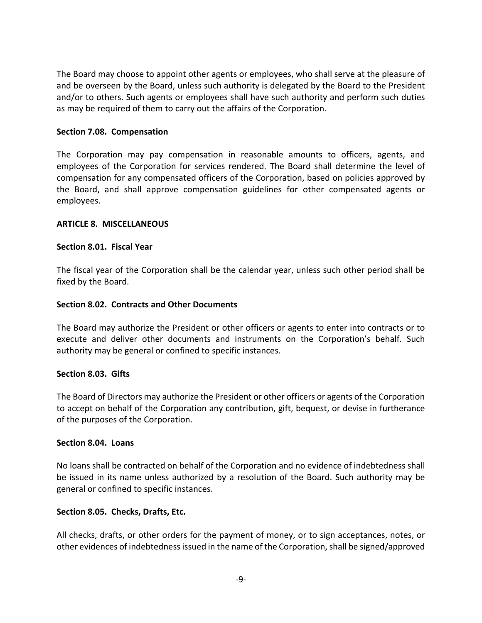The Board may choose to appoint other agents or employees, who shall serve at the pleasure of and be overseen by the Board, unless such authority is delegated by the Board to the President and/or to others. Such agents or employees shall have such authority and perform such duties as may be required of them to carry out the affairs of the Corporation.

#### **Section 7.08. Compensation**

The Corporation may pay compensation in reasonable amounts to officers, agents, and employees of the Corporation for services rendered. The Board shall determine the level of compensation for any compensated officers of the Corporation, based on policies approved by the Board, and shall approve compensation guidelines for other compensated agents or employees.

#### **ARTICLE 8. MISCELLANEOUS**

#### **Section 8.01. Fiscal Year**

The fiscal year of the Corporation shall be the calendar year, unless such other period shall be fixed by the Board.

#### **Section 8.02. Contracts and Other Documents**

The Board may authorize the President or other officers or agents to enter into contracts or to execute and deliver other documents and instruments on the Corporation's behalf. Such authority may be general or confined to specific instances.

#### **Section 8.03. Gifts**

The Board of Directors may authorize the President or other officers or agents of the Corporation to accept on behalf of the Corporation any contribution, gift, bequest, or devise in furtherance of the purposes of the Corporation.

#### **Section 8.04. Loans**

No loans shall be contracted on behalf of the Corporation and no evidence of indebtedness shall be issued in its name unless authorized by a resolution of the Board. Such authority may be general or confined to specific instances.

#### **Section 8.05. Checks, Drafts, Etc.**

All checks, drafts, or other orders for the payment of money, or to sign acceptances, notes, or other evidences of indebtedness issued in the name of the Corporation, shall be signed/approved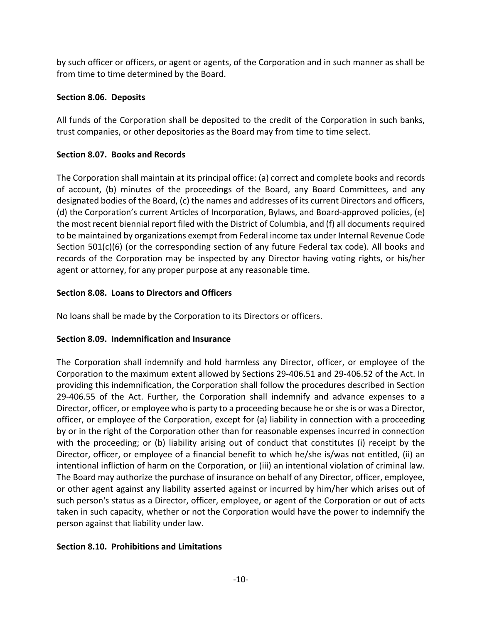by such officer or officers, or agent or agents, of the Corporation and in such manner as shall be from time to time determined by the Board.

# **Section 8.06. Deposits**

All funds of the Corporation shall be deposited to the credit of the Corporation in such banks, trust companies, or other depositories as the Board may from time to time select.

# **Section 8.07. Books and Records**

The Corporation shall maintain at its principal office: (a) correct and complete books and records of account, (b) minutes of the proceedings of the Board, any Board Committees, and any designated bodies of the Board, (c) the names and addresses of its current Directors and officers, (d) the Corporation's current Articles of Incorporation, Bylaws, and Board‐approved policies, (e) the most recent biennial report filed with the District of Columbia, and (f) all documentsrequired to be maintained by organizations exempt from Federal income tax under Internal Revenue Code Section 501(c)(6) (or the corresponding section of any future Federal tax code). All books and records of the Corporation may be inspected by any Director having voting rights, or his/her agent or attorney, for any proper purpose at any reasonable time.

# **Section 8.08. Loans to Directors and Officers**

No loans shall be made by the Corporation to its Directors or officers.

# **Section 8.09. Indemnification and Insurance**

The Corporation shall indemnify and hold harmless any Director, officer, or employee of the Corporation to the maximum extent allowed by Sections 29‐406.51 and 29‐406.52 of the Act. In providing this indemnification, the Corporation shall follow the procedures described in Section 29‐406.55 of the Act. Further, the Corporation shall indemnify and advance expenses to a Director, officer, or employee who is party to a proceeding because he orshe is or was a Director, officer, or employee of the Corporation, except for (a) liability in connection with a proceeding by or in the right of the Corporation other than for reasonable expenses incurred in connection with the proceeding; or (b) liability arising out of conduct that constitutes (i) receipt by the Director, officer, or employee of a financial benefit to which he/she is/was not entitled, (ii) an intentional infliction of harm on the Corporation, or (iii) an intentional violation of criminal law. The Board may authorize the purchase of insurance on behalf of any Director, officer, employee, or other agent against any liability asserted against or incurred by him/her which arises out of such person's status as a Director, officer, employee, or agent of the Corporation or out of acts taken in such capacity, whether or not the Corporation would have the power to indemnify the person against that liability under law.

## **Section 8.10. Prohibitions and Limitations**